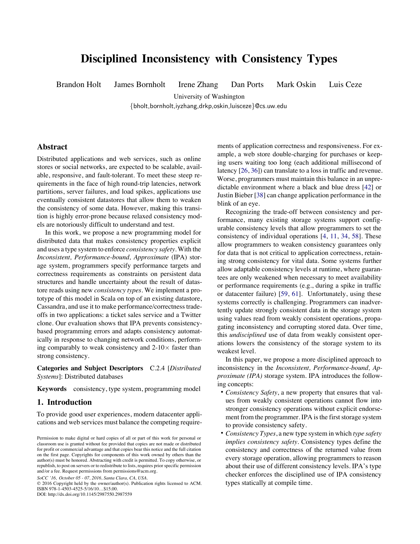# **Disciplined Inconsistency with Consistency Types**

Brandon Holt James Bornholt Irene Zhang Dan Ports Mark Oskin Luis Ceze

University of Washington

{bholt,bornholt,iyzhang,drkp,oskin,luisceze}@cs.uw.edu

# **Abstract**

Distributed applications and web services, such as online stores or social networks, are expected to be scalable, available, responsive, and fault-tolerant. To meet these steep requirements in the face of high round-trip latencies, network partitions, server failures, and load spikes, applications use eventually consistent datastores that allow them to weaken the consistency of some data. However, making this transition is highly error-prone because relaxed consistency models are notoriously difficult to understand and test.

In this work, we propose a new programming model for distributed data that makes consistency properties explicit and uses a type system to enforce *consistency safety*. With the *Inconsistent, Performance-bound, Approximate* (IPA) storage system, programmers specify performance targets and correctness requirements as constraints on persistent data structures and handle uncertainty about the result of datastore reads using new *consistency types*. We implement a prototype of this model in Scala on top of an existing datastore, Cassandra, and use it to make performance/correctness tradeoffs in two applications: a ticket sales service and a Twitter clone. Our evaluation shows that IPA prevents consistencybased programming errors and adapts consistency automatically in response to changing network conditions, performing comparably to weak consistency and  $2\textrm{-}10\times$  faster than strong consistency.

**Categories and Subject Descriptors** C.2.4 [*Distributed Systems*]: Distributed databases

**Keywords** consistency, type system, programming model

# **1. Introduction**

To provide good user experiences, modern datacenter applications and web services must balance the competing require-

*SoCC '16, October 05 - 07, 2016, Santa Clara, CA, USA.*

© 2016 Copyright held by the owner/author(s). Publication rights licensed to ACM. ISBN 978-1-4503-4525-5/16/10…\$15.00. DOI: http://dx.doi.org/10.1145/2987550.2987559

ments of application correctness and responsiveness. For example, a web store double-charging for purchases or keeping users waiting too long (each additional millisecond of latency [\[26](#page-11-0), [36\]](#page-11-0)) can translate to a loss in traffic and revenue. Worse, programmers must maintain this balance in an unpredictable environment where a black and blue dress [\[42](#page-11-0)] or Justin Bieber [\[38](#page-11-0)] can change application performance in the blink of an eye.

Recognizing the trade-off between consistency and performance, many existing storage systems support configurable consistency levels that allow programmers to set the consistency of individual operations[[4,](#page-11-0) [11](#page-11-0), [34](#page-11-0), [58](#page-11-0)]. These allow programmers to weaken consistency guarantees only for data that is not critical to application correctness, retaining strong consistency for vital data. Some systems further allow adaptable consistency levels at runtime, where guarantees are only weakened when necessary to meet availability or performance requirements (e.g., during a spike in traffic or datacenter failure)[[59,](#page-11-0) [61\]](#page-11-0). Unfortunately, using these systems correctly is challenging. Programmers can inadvertently update strongly consistent data in the storage system using values read from weakly consistent operations, propagating inconsistency and corrupting stored data. Over time, this *undisciplined* use of data from weakly consistent operations lowers the consistency of the storage system to its weakest level.

In this paper, we propose a more disciplined approach to inconsistency in the *Inconsistent, Performance-bound, Approximate (IPA)* storage system. IPA introduces the following concepts:

- *Consistency Safety*, a new property that ensures that values from weakly consistent operations cannot flow into stronger consistency operations without explicit endorsement from the programmer. IPA is the first storage system to provide consistency safety.
- *Consistency Types*, a new type system in which *type safety implies consistency safety*. Consistency types define the consistency and correctness of the returned value from every storage operation, allowing programmers to reason about their use of different consistency levels. IPA's type checker enforces the disciplined use of IPA consistency types statically at compile time.

Permission to make digital or hard copies of all or part of this work for personal or classroom use is granted without fee provided that copies are not made or distributed for profit or commercial advantage and that copies bear this notice and the full citation on the first page. Copyrights for components of this work owned by others than the author(s) must be honored. Abstracting with credit is permitted. To copy otherwise, or republish, to post on servers or to redistribute to lists, requires prior specific permission and/or a fee. Request permissions from permissions@acm.org.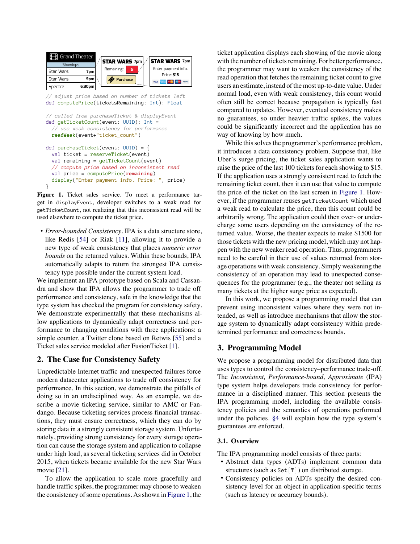<span id="page-1-0"></span>

```
// called from purchaseTicket & displayEvent
def getTicketCount(event: UUID): Int =
   // use weak consistency for performance
  readWeak(event+"ticket_count")
def purchaseTicket(event: UUID) = {
  val ticket = reserveTicket(event)
  val remaining = getTicketCount(event)
```

```
 // compute price based on inconsistent read
  val price = computePrice(remaining)
  display("Enter payment info. Price: ", price)
}
```
**Figure 1.** Ticket sales service. To meet a performance target in displayEvent, developer switches to a weak read for getTicketCount, not realizing that this inconsistent read will be used elsewhere to compute the ticket price.

• *Error-bounded Consistency.* IPA is a data structure store, like Redis[[54\]](#page-11-0) or Riak [\[11](#page-11-0)], allowing it to provide a new type of weak consistency that places *numeric error bounds* on the returned values. Within these bounds, IPA automatically adapts to return the strongest IPA consistency type possible under the current system load.

We implement an IPA prototype based on Scala and Cassandra and show that IPA allows the programmer to trade off performance and consistency, safe in the knowledge that the type system has checked the program for consistency safety. We demonstrate experimentally that these mechanisms allow applications to dynamically adapt correctness and performance to changing conditions with three applications: a simple counter, a Twitter clone based on Retwis [\[55](#page-11-0)] and a Ticket sales service modeled after FusionTicket [\[1](#page-11-0)].

# <span id="page-1-1"></span>**2. The Case for Consistency Safety**

Unpredictable Internet traffic and unexpected failures force modern datacenter applications to trade off consistency for performance. In this section, we demonstrate the pitfalls of doing so in an undisciplined way. As an example, we describe a movie ticketing service, similar to AMC or Fandango. Because ticketing services process financial transactions, they must ensure correctness, which they can do by storing data in a strongly consistent storage system. Unfortunately, providing strong consistency for every storage operation can cause the storage system and application to collapse under high load, as several ticketing services did in October 2015, when tickets became available for the new Star Wars movie[[21\]](#page-11-0).

To allow the application to scale more gracefully and handle traffic spikes, the programmer may choose to weaken the consistency of some operations. As shown in [Figure 1,](#page-1-0) the ticket application displays each showing of the movie along with the number of tickets remaining. For better performance, the programmer may want to weaken the consistency of the read operation that fetches the remaining ticket count to give users an estimate, instead of the most up-to-date value. Under normal load, even with weak consistency, this count would often still be correct because propagation is typically fast compared to updates. However, eventual consistency makes no guarantees, so under heavier traffic spikes, the values could be significantly incorrect and the application has no way of knowing by how much.

While this solves the programmer's performance problem, it introduces a data consistency problem. Suppose that, like Uber's surge pricing, the ticket sales application wants to raise the price of the last 100 tickets for each showing to \$15. If the application uses a strongly consistent read to fetch the remaining ticket count, then it can use that value to compute the price of the ticket on the last screen in [Figure 1](#page-1-0). However, if the programmer reuses getTicketCount which used a weak read to calculate the price, then this count could be arbitrarily wrong. The application could then over- or undercharge some users depending on the consistency of the returned value. Worse, the theater expects to make \$1500 for those tickets with the new pricing model, which may not happen with the new weaker read operation. Thus, programmers need to be careful in their use of values returned from storage operations with weak consistency. Simply weakening the consistency of an operation may lead to unexpected consequences for the programmer (e.g., the theater not selling as many tickets at the higher surge price as expected).

In this work, we propose a programming model that can prevent using inconsistent values where they were not intended, as well as introduce mechanisms that allow the storage system to dynamically adapt consistency within predetermined performance and correctness bounds.

# **3. Programming Model**

We propose a programming model for distributed data that uses types to control the consistency–performance trade-off. The *Inconsistent, Performance-bound, Approximate* (IPA) type system helps developers trade consistency for performance in a disciplined manner. This section presents the IPA programming model, including the available consistency policies and the semantics of operations performed under the policies. [§4](#page-4-0) will explain how the type system's guarantees are enforced.

# **3.1. Overview**

The IPA programming model consists of three parts:

- Abstract data types (ADTs) implement common data structures (such as Set[T]) on distributed storage.
- Consistency policies on ADTs specify the desired consistency level for an object in application-specific terms (such as latency or accuracy bounds).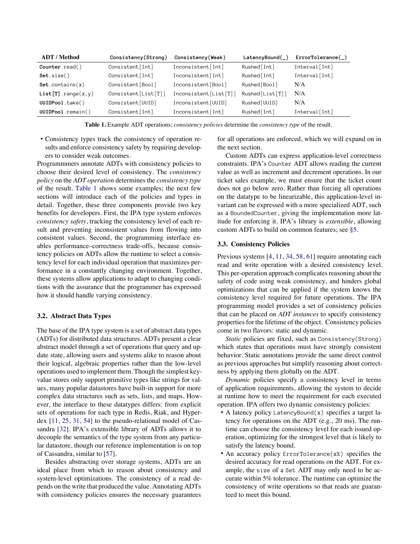<span id="page-2-0"></span>

| <b>ADT</b> / Method | Consistency(Strong) | Consistency(Weak)     | LatencyBound(   | $ErrorTolerance(\_)$ |
|---------------------|---------------------|-----------------------|-----------------|----------------------|
| Counter.read()      | Consistent [Int]    | Inconsistent[Int]     | Rushed [Int]    | Interval [Int]       |
| Set size()          | Consistent[Int]     | Inconsistent[Int]     | Rushed [Int]    | Interval [Int]       |
| Set. contains(x)    | Consistent[Bool]    | Inconsistent[Bool]    | Rushed [Bool]   | N/A                  |
| List[T].range(x,y)  | Consistent[List[T]] | Inconsistent[List[T]] | Rushed[List[T]] | N/A                  |
| UUIDPool.take()     | Consistent [UUID]   | Inconsistent[UUID]    | Rushed [UUID]   | N/A                  |
| UUIDPool.remain()   | Consistent [Int]    | Inconsistent[Int]     | Rushed [Int]    | Interval [Int]       |

**Table 1.** Example ADT operations; *consistency policies* determine the *consistency type* of the result.

• Consistency types track the consistency of operation results and enforce consistency safety by requiring developers to consider weak outcomes.

Programmmers annotate ADTs with consistency policies to choose their desired level of consistency. The *consistency policy* on the *ADT operation* determines the *consistency type* of the result. [Table 1](#page-2-0) shows some examples; the next few sections will introduce each of the policies and types in detail. Together, these three components provide two key benefits for developers. First, the IPA type system enforces *consistency safety*, tracking the consistency level of each result and preventing inconsistent values from flowing into consistent values. Second, the programming interface enables performance–correctness trade-offs, because consistency policies on ADTs allow the runtime to select a consistency level for each individual operation that maximizes performance in a constantly changing environment. Together, these systems allow applications to adapt to changing conditions with the assurance that the programmer has expressed how it should handle varying consistency.

### **3.2. Abstract Data Types**

The base of the IPA type system is a set of abstract data types (ADTs) for distributed data structures. ADTs present a clear abstract model through a set of operations that query and update state, allowing users and systems alike to reason about their logical, algebraic properties rather than the low-level operations used to implement them. Though the simplest keyvalue stores only support primitive types like strings for values, many popular datastores have built-in support for more complex data structures such as sets, lists, and maps. However, the interface to these datatypes differs: from explicit sets of operations for each type in Redis, Riak, and Hyperdex[[11,](#page-11-0) [25](#page-11-0), [31](#page-11-0), [54\]](#page-11-0) to the pseudo-relational model of Cassandra[[32\]](#page-11-0). IPA's extensible library of ADTs allows it to decouple the semantics of the type system from any particular datastore, though our reference implementation is on top of Cassandra, similar to [\[57](#page-11-0)].

Besides abstracting over storage systems, ADTs are an ideal place from which to reason about consistency and system-level optimizations. The consistency of a read depends on the write that produced the value. Annotating ADTs with consistency policies ensures the necessary guarantees

for all operations are enforced, which we will expand on in the next section.

Custom ADTs can express application-level correctness constraints. IPA's Counter ADT allows reading the current value as well as increment and decrement operations. In our ticket sales example, we must ensure that the ticket count does not go below zero. Rather than forcing all operations on the datatype to be linearizable, this application-level invariant can be expressed with a more specialized ADT, such as a BoundedCounter, giving the implementation more latitude for enforcing it. IPA's library is *extensible*, allowing custom ADTs to build on common features; see [§5](#page-6-0).

#### <span id="page-2-1"></span>**3.3. Consistency Policies**

Previoussystems [[4,](#page-11-0) [11,](#page-11-0) [34,](#page-11-0) [58,](#page-11-0) [61\]](#page-11-0) require annotating each read and write operation with a desired consistency level. This per-operation approach complicates reasoning about the safety of code using weak consistency, and hinders global optimizations that can be applied if the system knows the consistency level required for future operations. The IPA programming model provides a set of consistency policies that can be placed on *ADT instances* to specify consistency properties for the lifetime of the object. Consistency policies come in two flavors: static and dynamic.

*Static* policies are fixed, such as Consistency(Strong) which states that operations must have strongly consistent behavior. Static annotations provide the same direct control as previous approaches but simplify reasoning about correctness by applying them globally on the ADT.

*Dynamic* policies specify a consistency level in terms of application requirements, allowing the system to decide at runtime how to meet the requirement for each executed operation. IPA offers two dynamic consistency policies:

- A latency policy LatencyBound(x) specifies a target latency for operations on the ADT (e.g., 20 ms). The runtime can choose the consistency level for each issued operation, optimizing for the strongest level that is likely to satisfy the latency bound.
- An accuracy policy ErrorTolerance(x%) specifies the desired accuracy for read operations on the ADT. For example, the size of a Set ADT may only need to be accurate within 5% tolerance. The runtime can optimize the consistency of write operations so that reads are guaranteed to meet this bound.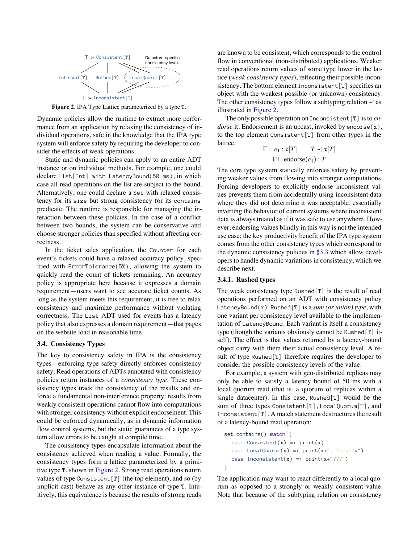<span id="page-3-0"></span>

**Figure 2.** IPA Type Lattice parameterized by a type T.

Dynamic policies allow the runtime to extract more performance from an application by relaxing the consistency of individual operations, safe in the knowledge that the IPA type system will enforce safety by requiring the developer to consider the effects of weak operations.

Static and dynamic policies can apply to an entire ADT instance or on individual methods. For example, one could declare List[Int] with LatencyBound(50 ms), in which case all read operations on the list are subject to the bound. Alternatively, one could declare a Set with relaxed consistency for its size but strong consistency for its contains predicate. The runtime is responsible for managing the interaction between these policies. In the case of a conflict between two bounds, the system can be conservative and choose stronger policies than specified without affecting correctness.

In the ticket sales application, the Counter for each event's tickets could have a relaxed accuracy policy, specified with ErrorTolerance(5%), allowing the system to quickly read the count of tickets remaining. An accuracy policy is appropriate here because it expresses a domain requirement—users want to see accurate ticket counts. As long as the system meets this requirement, it is free to relax consistency and maximize performance without violating correctness. The List ADT used for events has a latency policy that also expresses a domain requirement—that pages on the website load in reasonable time.

# **3.4. Consistency Types**

The key to consistency safety in IPA is the consistency types—enforcing type safety directly enforces consistency safety. Read operations of ADTs annotated with consistency policies return instances of a *consistency type*. These consistency types track the consistency of the results and enforce a fundamental non-interference property: results from weakly consistent operations cannot flow into computations with stronger consistency without explicit endorsement. This could be enforced dynamically, as in dynamic information flow control systems, but the static guarantees of a type system allow errors to be caught at compile time.

The consistency types encapsulate information about the consistency achieved when reading a value. Formally, the consistency types form a lattice parameterized by a primitive type T, shown in [Figure 2](#page-3-0). Strong read operations return values of type Consistent  $[T]$  (the top element), and so (by implicit cast) behave as any other instance of type T. Intuitively, this equivalence is because the results of strong reads are known to be consistent, which corresponds to the control flow in conventional (non-distributed) applications. Weaker read operations return values of some type lower in the lattice (*weak consistency types*), reflecting their possible inconsistency. The bottom element Inconsistent [T] specifies an object with the weakest possible (or unknown) consistency. The other consistency types follow a subtyping relation  $\prec$  as illustrated in [Figure 2](#page-3-0).

The only possible operation on Inconsistent[T] is to *endorse* it. Endorsement is an upcast, invoked by endorse(x), to the top element Consistent[T] from other types in the lattice:

$$
\frac{\Gamma \vdash e_1 : \tau[T] \qquad T \prec \tau[T]}{\Gamma \vdash \text{endorse}(e_1) : T}
$$

The core type system statically enforces safety by preventing weaker values from flowing into stronger computations. Forcing developers to explicitly endorse inconsistent values prevents them from accidentally using inconsistent data where they did not determine it was acceptable, essentially inverting the behavior of current systems where inconsistent data is always treated as if it was safe to use anywhere. However, endorsing values blindly in this way is not the intended use case; the key productivity benefit of the IPA type system comes from the other consistency types which correspond to the dynamic consistency policies in [§3.3](#page-2-1) which allow developers to handle dynamic variations in consistency, which we describe next.

### **3.4.1. Rushed types**

The weak consistency type Rushed[T] is the result of read operations performed on an ADT with consistency policy LatencyBound(x). Rushed[T] is a *sum (or union) type*, with one variant per consistency level available to the implementation of LatencyBound. Each variant is itself a consistency type (though the variants obviously cannot be Rushed[T] itself). The effect is that values returned by a latency-bound object carry with them their actual consistency level. A result of type Rushed[T] therefore requires the developer to consider the possible consistency levels of the value.

For example, a system with geo-distributed replicas may only be able to satisfy a latency bound of 50 ms with a local quorum read (that is, a quorum of replicas within a single datacenter). In this case, Rushed[T] would be the sum of three types Consistent[T], LocalQuorum[T], and Inconsistent[T]. A match statement destructures the result of a latency-bound read operation:

```
set.contains() match {
  case Consistent(x) => print(x)case LocalQuorum(x) \Rightarrow print(x+", locally")case Inconsistent(x) => print(x + "???")}
```
The application may want to react differently to a local quorum as opposed to a strongly or weakly consistent value. Note that because of the subtyping relation on consistency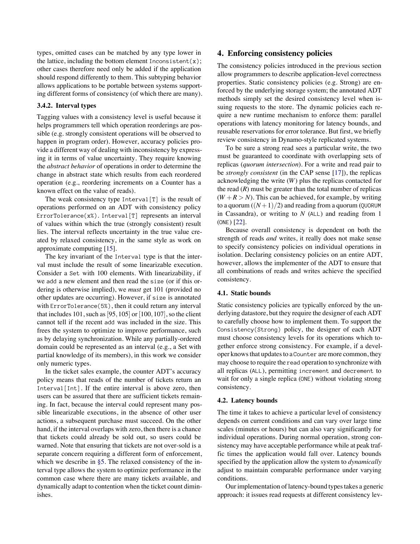types, omitted cases can be matched by any type lower in the lattice, including the bottom element Inconsistent $(x)$ ; other cases therefore need only be added if the application should respond differently to them. This subtyping behavior allows applications to be portable between systems supporting different forms of consistency (of which there are many).

# **3.4.2. Interval types**

Tagging values with a consistency level is useful because it helps programmers tell which operation reorderings are possible (e.g. strongly consistent operations will be observed to happen in program order). However, accuracy policies provide a different way of dealing with inconsistency by expressing it in terms of value uncertainty. They require knowing the *abstract behavior* of operations in order to determine the change in abstract state which results from each reordered operation (e.g., reordering increments on a Counter has a known effect on the value of reads).

The weak consistency type Interval[T] is the result of operations performed on an ADT with consistency policy ErrorTolerance(x%). Interval[T] represents an interval of values within which the true (strongly consistent) result lies. The interval reflects uncertainty in the true value created by relaxed consistency, in the same style as work on approximate computing[[15\]](#page-11-0).

The key invariant of the Interval type is that the interval must include the result of some linearizable execution. Consider a Set with 100 elements. With linearizability, if we add a new element and then read the size (or if this ordering is otherwise implied), we *must* get 101 (provided no other updates are occurring). However, if size is annotated with ErrorTolerance(5%), then it could return any interval that includes 101, such as  $[95,105]$  or  $[100,107]$ , so the client cannot tell if the recent add was included in the size. This frees the system to optimize to improve performance, such as by delaying synchronization. While any partially-ordered domain could be represented as an interval (e.g., a Set with partial knowledge of its members), in this work we consider only numeric types.

<span id="page-4-0"></span>In the ticket sales example, the counter ADT's accuracy policy means that reads of the number of tickets return an Interval [Int]. If the entire interval is above zero, then users can be assured that there are sufficient tickets remaining. In fact, because the interval could represent many possible linearizable executions, in the absence of other user actions, a subsequent purchase must succeed. On the other hand, if the interval overlaps with zero, then there is a chance that tickets could already be sold out, so users could be warned. Note that ensuring that tickets are not over-sold is a separate concern requiring a different form of enforcement, which we describe in [§5](#page-6-0). The relaxed consistency of the interval type allows the system to optimize performance in the common case where there are many tickets available, and dynamically adapt to contention when the ticket count diminishes.

# **4. Enforcing consistency policies**

The consistency policies introduced in the previous section allow programmers to describe application-level correctness properties. Static consistency policies (e.g. Strong) are enforced by the underlying storage system; the annotated ADT methods simply set the desired consistency level when issuing requests to the store. The dynamic policies each require a new runtime mechanism to enforce them: parallel operations with latency monitoring for latency bounds, and reusable reservations for error tolerance. But first, we briefly review consistency in Dynamo-style replicated systems.

To be sure a strong read sees a particular write, the two must be guaranteed to coordinate with overlapping sets of replicas (*quorum intersection*). For a write and read pair to be *strongly consistent* (in the CAP sense[[17\]](#page-11-0)), the replicas acknowledging the write (*W*) plus the replicas contacted for the read  $(R)$  must be greater than the total number of replicas  $(W + R > N)$ . This can be achieved, for example, by writing to a quorum  $((N+1)/2)$  and reading from a quorum (QUORUM in Cassandra), or writing to *N* (ALL) and reading from 1 (ONE)[[22\]](#page-11-0).

Because overall consistency is dependent on both the strength of reads *and* writes, it really does not make sense to specify consistency policies on individual operations in isolation. Declaring consistency policies on an entire ADT, however, allows the implementer of the ADT to ensure that all combinations of reads and writes achieve the specified consistency.

### **4.1. Static bounds**

Static consistency policies are typically enforced by the underlying datastore, but they require the designer of each ADT to carefully choose how to implement them. To support the Consistency(Strong) policy, the designer of each ADT must choose consistency levels for its operations which together enforce strong consistency. For example, if a developer knows that updates to a Counter are more common, they may choose to require the read operation to synchronize with all replicas (ALL), permitting increment and decrement to wait for only a single replica (ONE) without violating strong consistency.

### **4.2. Latency bounds**

The time it takes to achieve a particular level of consistency depends on current conditions and can vary over large time scales (minutes or hours) but can also vary significantly for individual operations. During normal operation, strong consistency may have acceptable performance while at peak traffic times the application would fall over. Latency bounds specified by the application allow the system to *dynamically* adjust to maintain comparable performance under varying conditions.

Our implementation of latency-bound types takes a generic approach: it issues read requests at different consistency lev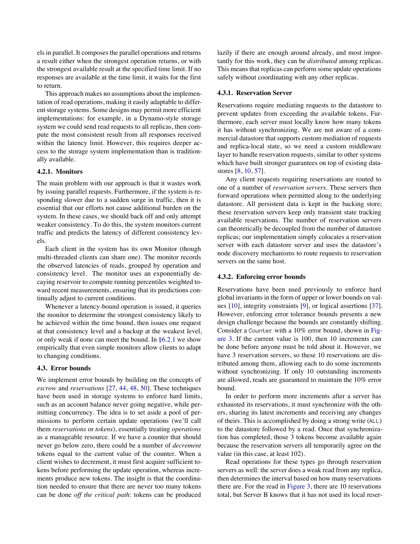els in parallel. It composes the parallel operations and returns a result either when the strongest operation returns, or with the strongest available result at the specified time limit. If no responses are available at the time limit, it waits for the first to return.

This approach makes no assumptions about the implementation of read operations, making it easily adaptable to different storage systems. Some designs may permit more efficient implementations: for example, in a Dynamo-style storage system we could send read requests to all replicas, then compute the most consistent result from all responses received within the latency limit. However, this requires deeper access to the storage system implementation than is traditionally available.

#### **4.2.1. Monitors**

The main problem with our approach is that it wastes work by issuing parallel requests. Furthermore, if the system is responding slower due to a sudden surge in traffic, then it is essential that our efforts not cause additional burden on the system. In these cases, we should back off and only attempt weaker consistency. To do this, the system monitors current traffic and predicts the latency of different consistency levels.

Each client in the system has its own Monitor (though multi-threaded clients can share one). The monitor records the observed latencies of reads, grouped by operation and consistency level. The monitor uses an exponentially decaying reservoir to compute running percentiles weighted toward recent measurements, ensuring that its predictions continually adjust to current conditions.

Whenever a latency-bound operation is issued, it queries the monitor to determine the strongest consistency likely to be achieved within the time bound, then issues one request at that consistency level and a backup at the weakest level, or only weak if none can meet the bound. In [§6.2.1](#page-7-0) we show empirically that even simple monitors allow clients to adapt to changing conditions.

### <span id="page-5-0"></span>**4.3. Error bounds**

We implement error bounds by building on the concepts of *escrow* and *reservations* [\[27](#page-11-0), [44,](#page-11-0) [48](#page-11-0), [50\]](#page-11-0). These techniques have been used in storage systems to enforce hard limits, such as an account balance never going negative, while permitting concurrency. The idea is to set aside a pool of permissions to perform certain update operations (we'll call them *reservations* or *tokens*), essentially treating *operations* as a manageable resource. If we have a counter that should never go below zero, there could be a number of *decrement* tokens equal to the current value of the counter. When a client wishes to decrement, it must first acquire sufficient tokens before performing the update operation, whereas increments produce new tokens. The insight is that the coordination needed to ensure that there are never too many tokens can be done *off the critical path*: tokens can be produced

lazily if there are enough around already, and most importantly for this work, they can be *distributed* among replicas. This means that replicas can perform some update operations safely without coordinating with any other replicas.

### **4.3.1. Reservation Server**

Reservations require mediating requests to the datastore to prevent updates from exceeding the available tokens. Furthermore, each server must locally know how many tokens it has without synchronizing. We are not aware of a commercial datastore that supports custom mediation of requests and replica-local state, so we need a custom middleware layer to handle reservation requests, similar to other systems which have built stronger guarantees on top of existing datastores [\[8](#page-11-0), [10,](#page-11-0) [57\]](#page-11-0).

Any client requests requiring reservations are routed to one of a number of *reservation servers*. These servers then forward operations when permitted along to the underlying datastore. All persistent data is kept in the backing store; these reservation servers keep only transient state tracking available reservations. The number of reservation servers can theoretically be decoupled from the number of datastore replicas; our implementation simply colocates a reservation server with each datastore server and uses the datastore's node discovery mechanisms to route requests to reservation servers on the same host.

#### **4.3.2. Enforcing error bounds**

Reservations have been used previously to enforce hard global invariants in the form of upper or lower bounds on values[[10\]](#page-11-0), integrity constraints [\[9](#page-11-0)], or logical assertions [\[37](#page-11-0)]. However, enforcing error tolerance bounds presents a new design challenge because the bounds are constantly shifting. Consider a Counter with a 10% error bound, shown in [Fig](#page-6-1)[ure 3](#page-6-1). If the current value is 100, then 10 increments can be done before anyone must be told about it. However, we have 3 reservation servers, so these 10 reservations are distributed among them, allowing each to do some increments without synchronizing. If only 10 outstanding increments are allowed, reads are guaranteed to maintain the 10% error bound.

In order to perform more increments after a server has exhausted its reservations, it must synchronize with the others, sharing its latest increments and receiving any changes of theirs. This is accomplished by doing a strong write (ALL) to the datastore followed by a read. Once that synchronization has completed, those 3 tokens become available again because the reservation servers all temporarily agree on the value (in this case, at least 102).

Read operations for these types go through reservation servers as well: the server does a weak read from any replica, then determines the interval based on how many reservations there are. For the read in [Figure 3,](#page-6-1) there are 10 reservations total, but Server B knows that it has not used its local reser-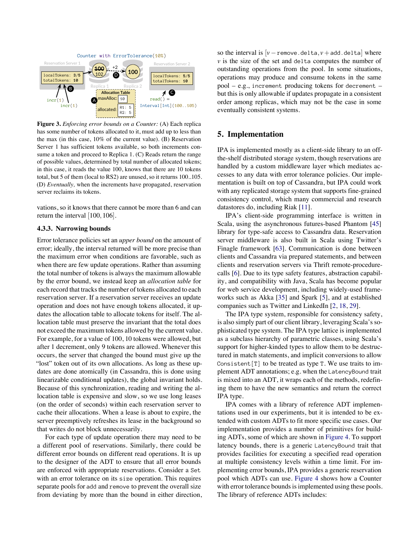<span id="page-6-1"></span>

**Figure 3.** *Enforcing error bounds on a Counter:* (A) Each replica has some number of tokens allocated to it, must add up to less than the max (in this case, 10% of the current value). (B) Reservation Server 1 has sufficient tokens available, so both increments consume a token and proceed to Replica 1. (C) Reads return the range of possible values, determined by total number of allocated tokens; in this case, it reads the value 100, knows that there are 10 tokens total, but 5 of them (local to RS2) are unused, so it returns 100..105. (D) *Eventually,* when the increments have propagated, reservation server reclaims its tokens.

vations, so it knows that there cannot be more than 6 and can return the interval [100,106].

### **4.3.3. Narrowing bounds**

Error tolerance policies set an *upper bound* on the amount of error; ideally, the interval returned will be more precise than the maximum error when conditions are favorable, such as when there are few update operations. Rather than assuming the total number of tokens is always the maximum allowable by the error bound, we instead keep an *allocation table* for each record that tracks the number of tokens allocated to each reservation server. If a reservation server receives an update operation and does not have enough tokens allocated, it updates the allocation table to allocate tokens for itself. The allocation table must preserve the invariant that the total does not exceed the maximum tokens allowed by the current value. For example, for a value of 100, 10 tokens were allowed, but after 1 decrement, only 9 tokens are allowed. Whenever this occurs, the server that changed the bound must give up the "lost" token out of its own allocations. As long as these updates are done atomically (in Cassandra, this is done using linearizable conditional updates), the global invariant holds. Because of this synchronization, reading and writing the allocation table is expensive and slow, so we use long leases (on the order of seconds) within each reservation server to cache their allocations. When a lease is about to expire, the server preemptively refreshes its lease in the background so that writes do not block unnecessarily.

For each type of update operation there may need to be a different pool of reservations. Similarly, there could be different error bounds on different read operations. It is up to the designer of the ADT to ensure that all error bounds are enforced with appropriate reservations. Consider a Set with an error tolerance on its size operation. This requires separate pools for add and remove to prevent the overall size from deviating by more than the bound in either direction,

so the interval is  $[v$  - remove.delta,  $v$  + add.delta where *v* is the size of the set and delta computes the number of outstanding operations from the pool. In some situations, operations may produce and consume tokens in the same pool – e.g., increment producing tokens for decrement – but this is only allowable if updates propagate in a consistent order among replicas, which may not be the case in some eventually consistent systems.

# <span id="page-6-0"></span>**5. Implementation**

IPA is implemented mostly as a client-side library to an offthe-shelf distributed storage system, though reservations are handled by a custom middleware layer which mediates accesses to any data with error tolerance policies. Our implementation is built on top of Cassandra, but IPA could work with any replicated storage system that supports fine-grained consistency control, which many commercial and research datastores do, including Riak [\[11\]](#page-11-0).

IPA's client-side programming interface is written in Scala, using the asynchronous futures-based Phantom[[45\]](#page-11-0) library for type-safe access to Cassandra data. Reservation server middleware is also built in Scala using Twitter's Finagle framework[[63\]](#page-11-0). Communication is done between clients and Cassandra via prepared statements, and between clients and reservation servers via Thrift remote-procedurecalls [\[6](#page-11-0)]. Due to its type safety features, abstraction capability, and compatibility with Java, Scala has become popular for web service development, including widely-used frameworks such as Akka[[35\]](#page-11-0) and Spark[[5\]](#page-11-0), and at established companies such as Twitter and LinkedIn[[2,](#page-11-0) [18,](#page-11-0) [29\]](#page-11-0).

The IPA type system, responsible for consistency safety, is also simply part of our client library, leveraging Scala's sophisticated type system. The IPA type lattice is implemented as a subclass hierarchy of parametric classes, using Scala's support for higher-kinded types to allow them to be destructured in match statements, and implicit conversions to allow Consistent  $[T]$  to be treated as type T. We use traits to implement ADT annotations; e.g. when the LatencyBound trait is mixed into an ADT, it wraps each of the methods, redefining them to have the new semantics and return the correct IPA type.

IPA comes with a library of reference ADT implementations used in our experiments, but it is intended to be extended with custom ADTs to fit more specific use cases. Our implementation provides a number of primitives for building ADTs, some of which are shown in [Figure 4](#page-7-1). To support latency bounds, there is a generic LatencyBound trait that provides facilities for executing a specified read operation at multiple consistency levels within a time limit. For implementing error bounds, IPA provides a generic reservation pool which ADTs can use. [Figure 4](#page-7-1) shows how a Counter with error tolerance bounds is implemented using these pools. The library of reference ADTs includes: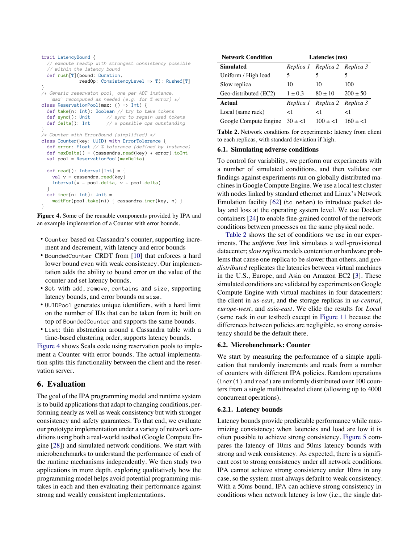```
trait LatencyBound {
  // execute readOp with strongest consistency possible
   // within the latency bound
   def rush[T](bound: Duration, 
              readOp: ConsistencyLevel => T): Rushed[T]
}
/* Generic reservaton pool, one per ADT instance. 
    `max` recomputed as needed (e.g. for % error) */
class ReservationPool(max: () => Int) {
   def take(n: Int): Boolean // try to take tokens
   def sync(): Unit // sync to regain used tokens
   def delta(): Int // # possible ops outstanding
}
/* Counter with ErrorBound (simplified) */
class Counter(key: UUID) with ErrorTolerance {
   def error: Float // % tolerance (defined by instance)
  def maxDelta() = (cassandra.read(key) * error).toInt
   val pool = ReservationPool(maxDelta)
  def read(): Interval [Int] = {
    val v = cassandra.read(key)
     Interval(v - pool.delta, v + pool.delta)
 }
  def incr(n: Int): Unit =
     waitFor(pool.take(n)) { cassandra.incr(key, n) }
}
```
**Figure 4.** Some of the reusable components provided by IPA and an example implemention of a Counter with error bounds.

- Counter based on Cassandra's counter, supporting increment and decrement, with latency and error bounds
- BoundedCounter CRDT from[[10\]](#page-11-0) that enforces a hard lower bound even with weak consistency. Our implementation adds the ability to bound error on the value of the counter and set latency bounds.
- Set with add, remove, contains and size, supporting latency bounds, and error bounds on size.
- UUIDPool generates unique identifiers, with a hard limit on the number of IDs that can be taken from it; built on top of BoundedCounter and supports the same bounds.
- List: thin abstraction around a Cassandra table with a time-based clustering order, supports latency bounds.

[Figure 4](#page-7-1) shows Scala code using reservation pools to implement a Counter with error bounds. The actual implementation splits this functionality between the client and the reservation server.

# **6. Evaluation**

The goal of the IPA programming model and runtime system is to build applications that adapt to changing conditions, performing nearly as well as weak consistency but with stronger consistency and safety guarantees. To that end, we evaluate our prototype implementation under a variety of network conditions using both a real-world testbed (Google Compute Engine [\[28](#page-11-0)]) and simulated network conditions. We start with microbenchmarks to understand the performance of each of the runtime mechanisms independently. We then study two applications in more depth, exploring qualitatively how the programming model helps avoid potential programming mistakes in each and then evaluating their performance against strong and weakly consistent implementations.

<span id="page-7-2"></span>

| <b>Network Condition</b>         | Latencies (ms) |                               |              |
|----------------------------------|----------------|-------------------------------|--------------|
| Simulated                        |                | Replica 1 Replica 2 Replica 3 |              |
| Uniform / High load              | 5              | 5                             |              |
| Slow replica                     | 10             | 10                            | 100          |
| Geo-distributed (EC2)            | $1 \pm 0.3$    | $80 \pm 10$                   | $200 \pm 50$ |
| <b>Actual</b>                    |                | Replica 1 Replica 2 Replica 3 |              |
| Local (same rack)                | ${<}1$         | ${<}1$                        | 1>           |
| Google Compute Engine $30 \pm 1$ |                | $100 \pm 1$ $160 \pm 1$       |              |

**Table 2.** Network conditions for experiments: latency from client to each replicas, with standard deviation if high.

# **6.1. Simulating adverse conditions**

To control for variability, we perform our experiments with a number of simulated conditions, and then validate our findings against experiments run on globally distributed machines in Google Compute Engine. We use a local test cluster with nodes linked by standard ethernet and Linux's Network Emulation facility [\[62](#page-11-0)] (tc netem) to introduce packet delay and loss at the operating system level. We use Docker containers[[24](#page-11-0)] to enable fine-grained control of the network conditions between processes on the same physical node.

[Table 2](#page-7-2) shows the set of conditions we use in our experiments. The *uniform 5ms* link simulates a well-provisioned datacenter;*slow replica* models contention or hardware problems that cause one replica to be slower than others, and *geodistributed* replicates the latencies between virtual machines in the U.S., Europe, and Asia on Amazon EC2[[3\]](#page-11-0). These simulated conditions are validated by experiments on Google Compute Engine with virtual machines in four datacenters: the client in *us-east*, and the storage replicas in *us-central*, *europe-west*, and *asia-east*. We elide the results for *Local* (same rack in our testbed) except in [Figure 11](#page-10-0) because the differences between policies are negligible, so strong consistency should be the default there.

### **6.2. Microbenchmark: Counter**

We start by measuring the performance of a simple application that randomly increments and reads from a number of counters with different IPA policies. Random operations (incr(1) and read) are uniformly distributed over 100 counters from a single multithreaded client (allowing up to 4000 concurrent operations).

#### <span id="page-7-0"></span>**6.2.1. Latency bounds**

Latency bounds provide predictable performance while maximizing consistency; when latencies and load are low it is often possible to achieve strong consistency. [Figure 5](#page-8-0) compares the latency of 10ms and 50ms latency bounds with strong and weak consistency. As expected, there is a significant cost to strong consistency under all network conditions. IPA cannot achieve strong consistency under 10ms in any case, so the system must always default to weak consistency. With a 50ms bound, IPA can achieve strong consistency in conditions when network latency is low (i.e., the single dat-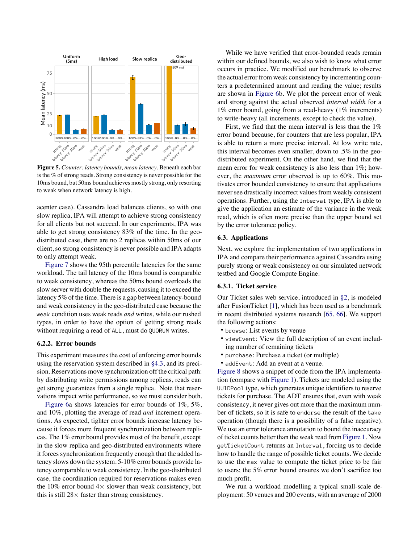<span id="page-8-0"></span>

**Figure 5.** *Counter: latency bounds, mean latency.* Beneath each bar is the % of strong reads. Strong consistency is never possible for the 10ms bound, but 50ms bound achieves mostly strong, only resorting to weak when network latency is high.

acenter case). Cassandra load balances clients, so with one slow replica, IPA will attempt to achieve strong consistency for all clients but not succeed. In our experiments, IPA was able to get strong consistency 83% of the time. In the geodistributed case, there are no 2 replicas within 50ms of our client, so strong consistency is never possible and IPA adapts to only attempt weak.

[Figure 7](#page-9-0) shows the 95th percentile latencies for the same workload. The tail latency of the 10ms bound is comparable to weak consistency, whereas the 50ms bound overloads the slow server with double the requests, causing it to exceed the latency 5% of the time. There is a gap between latency-bound and weak consistency in the geo-distributed case because the weak condition uses weak reads *and* writes, while our rushed types, in order to have the option of getting strong reads without requiring a read of ALL, must do QUORUM writes.

### **6.2.2. Error bounds**

This experiment measures the cost of enforcing error bounds using the reservation system described in [§4.3,](#page-5-0) and its precision. Reservations move synchronization off the critical path: by distributing write permissions among replicas, reads can get strong guarantees from a single replica. Note that reservations impact write performance, so we must consider both.

[Figure 6a](#page-9-1) shows latencies for error bounds of 1%, 5%, and 10%, plotting the average of read *and* increment operations. As expected, tighter error bounds increase latency because it forces more frequent synchronization between replicas. The 1% error bound provides most of the benefit, except in the slow replica and geo-distributed environments where it forces synchronization frequently enough that the added latency slows down the system. 5-10% error bounds provide latency comparable to weak consistency. In the geo-distributed case, the coordination required for reservations makes even the 10% error bound  $4 \times$  slower than weak consistency, but this is still  $28 \times$  faster than strong consistency.

While we have verified that error-bounded reads remain within our defined bounds, we also wish to know what error occurs in practice. We modified our benchmark to observe the actual error from weak consistency by incrementing counters a predetermined amount and reading the value; results are shown in [Figure 6b](#page-9-1). We plot the percent error of weak and strong against the actual observed *interval width* for a 1% error bound, going from a read-heavy (1% increments) to write-heavy (all increments, except to check the value).

First, we find that the mean interval is less than the 1% error bound because, for counters that are less popular, IPA is able to return a more precise interval. At low write rate, this interval becomes even smaller, down to .5% in the geodistributed experiment. On the other hand, we find that the mean error for weak consistency is also less than 1%; however, the *maximum* error observed is up to 60%. This motivates error bounded consistency to ensure that applications never see drastically incorrect values from weakly consistent operations. Further, using the Interval type, IPA is able to give the application an estimate of the variance in the weak read, which is often more precise than the upper bound set by the error tolerance policy.

### **6.3. Applications**

Next, we explore the implementation of two applications in IPA and compare their performance against Cassandra using purely strong or weak consistency on our simulated network testbed and Google Compute Engine.

# **6.3.1. Ticket service**

Our Ticket sales web service, introduced in [§2,](#page-1-1) is modeled after FusionTicket [\[1](#page-11-0)], which has been used as a benchmark in recent distributed systems research [\[65,](#page-11-0) [66](#page-11-0)]. We support the following actions:

- browse: List events by venue
- viewEvent: View the full description of an event including number of remaining tickets
- purchase: Purchase a ticket (or multiple)
- addEvent: Add an event at a venue.

[Figure 8](#page-9-2) shows a snippet of code from the IPA implementation (compare with [Figure 1\)](#page-1-0). Tickets are modeled using the UUIDPool type, which generates unique identifiers to reserve tickets for purchase. The ADT ensures that, even with weak consistency, it never gives out more than the maximum number of tickets, so it is safe to endorse the result of the take operation (though there is a possibility of a false negative). We use an error tolerance annotation to bound the inaccuracy of ticket counts better than the weak read from [Figure 1.](#page-1-0) Now getTicketCount returns an Interval, forcing us to decide how to handle the range of possible ticket counts. We decide to use the max value to compute the ticket price to be fair to users; the 5% error bound ensures we don't sacrifice too much profit.

We run a workload modelling a typical small-scale deployment: 50 venues and 200 events, with an average of 2000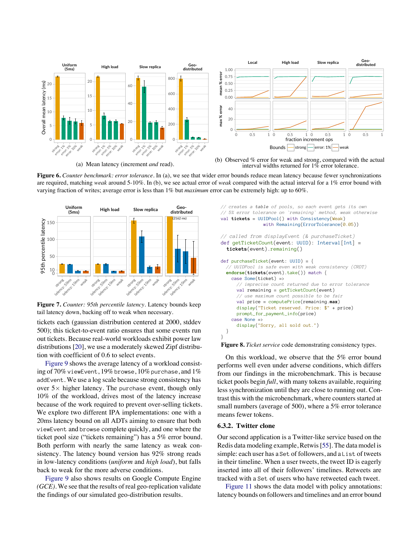<span id="page-9-1"></span>

(a) Mean latency (increment *and* read).

(b) Observed % error for weak and strong, compared with the actual interval widths returned for  $1\%$  error tolerance.

**Figure 6.** *Counter benchmark: error tolerance.* In (a), we see that wider error bounds reduce mean latency because fewer synchronizations are required, matching *weak* around 5-10%. In (b), we see actual error of *weak* compared with the actual interval for a 1% error bound with varying fraction of writes; average error is less than 1% but *maximum* error can be extremely high: up to 60%.

<span id="page-9-0"></span>

**Figure 7.** *Counter: 95th percentile latency.* Latency bounds keep tail latency down, backing off to weak when necessary.

tickets each (gaussian distribution centered at 2000, stddev 500); this ticket-to-event ratio ensures that some events run out tickets. Because real-world workloads exhibit power law distributions [\[20](#page-11-0)], we use a moderately skewed Zipf distribution with coefficient of 0.6 to select events.

[Figure 9](#page-10-1) shows the average latency of a workload consisting of  $70\%$  viewEvent,  $19\%$  browse,  $10\%$  purchase, and  $1\%$ addEvent. We use a log scale because strong consistency has over  $5\times$  higher latency. The purchase event, though only 10% of the workload, drives most of the latency increase because of the work required to prevent over-selling tickets. We explore two different IPA implementations: one with a 20ms latency bound on all ADTs aiming to ensure that both viewEvent and browse complete quickly, and one where the ticket pool size ("tickets remaining") has a 5% error bound. Both perform with nearly the same latency as weak consistency. The latency bound version has 92% strong reads in low-latency conditions (*uniform* and *high load*), but falls back to weak for the more adverse conditions.

[Figure 9](#page-10-1) also shows results on Google Compute Engine *(GCE)*. We see that the results of real geo-replication validate the findings of our simulated geo-distribution results.

```
// creates a table of pools, so each event gets its own
// 5% error tolerance on `remaining` method, weak otherwise
val tickets = UUIDPool() with Consistency(Weak)
                with Remaining(ErrorTolerance(0.05))
// called from displayEvent (& purchaseTicket)
def getTicketCount(event: UUID): Interval[Int] =
   tickets(event).remaining()
def purchaseTicket(event: UUID) = {
   // UUIDPool is safe even with weak consistency (CRDT)
  endorse(tickets(event).take()) match {
     case Some(ticket) =>
       // imprecise count returned due to error tolerance
      val remaining = getTicketCount(event)
       // use maximum count possible to be fair
       val price = computePrice(remaining.max)
       display("Ticket reserved. Price: $" + price)
      prompt_for_payment_info(price)
     case None =>
       display("Sorry, all sold out.")
   }
}
```
**Figure 8.** *Ticket service* code demonstrating consistency types.

On this workload, we observe that the 5% error bound performs well even under adverse conditions, which differs from our findings in the microbenchmark. This is because ticket pools begin *full*, with many tokens available, requiring less synchronization until they are close to running out. Contrast this with the microbenchmark, where counters started at small numbers (average of 500), where a 5% error tolerance means fewer tokens.

#### **6.3.2. Twitter clone**

Our second application is a Twitter-like service based on the Redis data modeling example, Retwis[[55\]](#page-11-0). The data model is simple: each user has a Set of followers, and a List of tweets in their timeline. When a user tweets, the tweet ID is eagerly inserted into all of their followers' timelines. Retweets are tracked with a Set of users who have retweeted each tweet.

[Figure 11](#page-10-0) shows the data model with policy annotations: latency bounds on followers and timelines and an error bound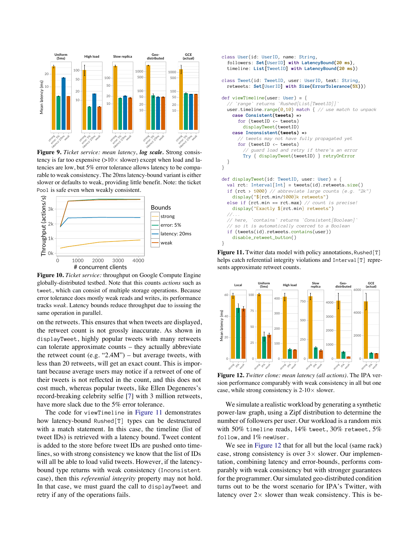<span id="page-10-1"></span>

**Figure 9.** *Ticket service: mean latency*, *log scale.* Strong consistency is far too expensive  $(>10 \times$  slower) except when load and latencies are low, but 5% error tolerance allows latency to be comparable to weak consistency. The 20ms latency-bound variant is either slower or defaults to weak, providing little benefit. Note: the ticket Pool is safe even when weakly consistent.



**Figure 10.** *Ticket service:* throughput on Google Compute Engine globally-distributed testbed. Note that this counts *actions* such as tweet, which can consist of multiple storage operations. Because error tolerance does mostly weak reads and writes, its performance tracks *weak*. Latency bounds reduce throughput due to issuing the same operation in parallel.

on the retweets. This ensures that when tweets are displayed, the retweet count is not grossly inaccurate. As shown in displayTweet, highly popular tweets with many retweets can tolerate approximate counts – they actually abbreviate the retweet count (e.g. " $2.4M$ ") – but average tweets, with less than 20 retweets, will get an exact count. This is important because average users may notice if a retweet of one of their tweets is not reflected in the count, and this does not cost much, whereas popular tweets, like Ellen Degeneres's record-breaking celebrity selfie[[7\]](#page-11-0) with 3 million retweets, have more slack due to the 5% error tolerance.

The code for viewTimeline in [Figure 11](#page-10-0) demonstrates how latency-bound Rushed[T] types can be destructured with a match statement. In this case, the timeline (list of tweet IDs) is retrieved with a latency bound. Tweet content is added to the store before tweet IDs are pushed onto timelines, so with strong consistency we know that the list of IDs will all be able to load valid tweets. However, if the latencybound type returns with weak consistency (Inconsistent case), then this *referential integrity* property may not hold. In that case, we must guard the call to displayTweet and retry if any of the operations fails.

```
class User(id: UserID, name: String,
   followers: Set[UserID] with LatencyBound(20 ms),
   timeline: List[TweetID] with LatencyBound(20 ms))
class Tweet(id: TweetID, user: UserID, text: String,
   retweets: Set[UserID] with Size(ErrorTolerance(5%)))
def viewTimeline(user: User) = {
   // `range` returns `Rushed[List[TweetID]]`
   user.timeline.range(0,10) match { // use match to unpack
     case Consistent(tweets) =>
       for (tweetID <- tweets) 
         displayTweet(tweetID)
     case Inconsistent(tweets) =>
        // tweets may not have fully propagated yet
       for (tweetID <- tweets)
            // guard load and retry if there's an error
         Try { displayTweet(tweetID) } retryOnError
   }
}
def displayTweet(id: TweetID, user: User) = {
   val rct: Interval[Int] = tweets(id).retweets.size()
   if (rct > 1000) // abbreviate large counts (e.g. "2k")
     display("${rct.min/1000}k retweets")
   else if (rct.min == rct.max) // count is precise!
     display("Exactly ${rct.min} retweets")
 //...
   // here, `contains` returns `Consistent[Boolean]`
   // so it is automatically coerced to a Boolean
   if (tweets(id).retweets.contains(user))
     disable_retweet_button()
}
```
**Figure 11.** Twitter data model with policy annotations, Rushed[T] helps catch referential integrity violations and Interval [T] represents approximate retweet counts.

<span id="page-10-2"></span>

**Figure 12.** *Twitter clone: mean latency (all actions).* The IPA version performance comparably with weak consistency in all but one case, while strong consistency is  $2-10\times$  slower.

We simulate a realistic workload by generating a synthetic power-law graph, using a Zipf distribution to determine the number of followers per user. Our workload is a random mix with 50% timeline reads, 14% tweet, 30% retweet, 5% follow, and 1% newUser.

We see in [Figure 12](#page-10-2) that for all but the local (same rack) case, strong consistency is over  $3 \times$  slower. Our implementation, combining latency and error-bounds, performs comparably with weak consistency but with stronger guarantees for the programmer. Our simulated geo-distributed condition turns out to be the worst scenario for IPA's Twitter, with latency over  $2 \times$  slower than weak consistency. This is be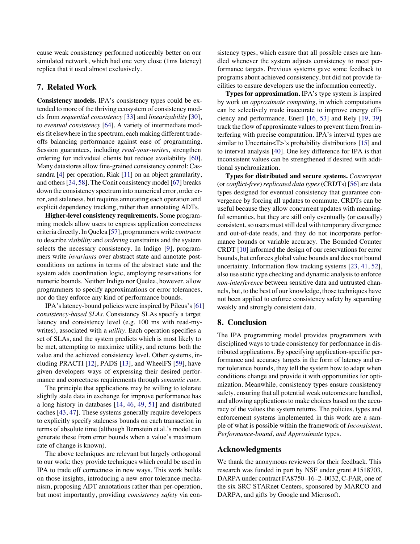cause weak consistency performed noticeably better on our simulated network, which had one very close (1ms latency) replica that it used almost exclusively.

# **7. Related Work**

**Consistency models.** IPA's consistency types could be extended to more of the thriving ecosystem of consistency models from *sequential consistency* [\[33](#page-11-0)] and *linearizability* [[30\]](#page-11-0), to *eventual consistency* [\[64](#page-11-0)]. A variety of intermediate models fit elsewhere in the spectrum, each making different tradeoffs balancing performance against ease of programming. Session guarantees, including *read-your-writes*, strengthen ordering for individual clients but reduce availability [\[60](#page-11-0)]. Many datastores allow fine-grained consistency control: Cassandra [\[4](#page-11-0)] per operation, Riak [\[11](#page-11-0)] on an object granularity, and others[[34,](#page-11-0) [58](#page-11-0)]. The Conit consistency model[[67\]](#page-11-0) breaks down the consistency spectrum into numerical error, order error, and staleness, but requires annotating each operation and explicit dependency tracking, rather than annotating ADTs.

**Higher-level consistency requirements.** Some programming models allow users to express application correctness criteria directly. In Quelea[[57\]](#page-11-0), programmers write *contracts* to describe *visibility* and *ordering* constraints and the system selects the necessary consistency. In Indigo[[9\]](#page-11-0), programmers write *invariants* over abstract state and annotate postconditions on actions in terms of the abstract state and the system adds coordination logic, employing reservations for numeric bounds. Neither Indigo nor Quelea, however, allow programmers to specify approximations or error tolerances, nor do they enforce any kind of performance bounds.

IPA's latency-bound policies were inspired by Pileus's [\[61](#page-11-0)] *consistency-based SLAs*. Consistency SLAs specify a target latency and consistency level (e.g. 100 ms with read-mywrites), associated with a *utility*. Each operation specifies a set of SLAs, and the system predicts which is most likely to be met, attempting to maximize utility, and returns both the value and the achieved consistency level. Other systems, including PRACTI[[12\]](#page-11-0), PADS[[13\]](#page-11-0), and WheelFS[[59\]](#page-11-0), have given developers ways of expressing their desired performance and correctness requirements through *semantic cues*.

The principle that applications may be willing to tolerate slightly stale data in exchange for improve performance has a long history in databases [\[14](#page-11-0), [46,](#page-11-0) [49,](#page-11-0) [51](#page-11-0)] and distributed caches [\[43](#page-11-0), [47](#page-11-0)]. These systems generally require developers to explicitly specify staleness bounds on each transaction in terms of absolute time (although Bernstein et al.'s model can generate these from error bounds when a value's maximum rate of change is known).

The above techniques are relevant but largely orthogonal to our work: they provide techniques which could be used in IPA to trade off correctness in new ways. This work builds on those insights, introducing a new error tolerance mechanism, proposing ADT annotations rather than per-operation, but most importantly, providing *consistency safety* via consistency types, which ensure that all possible cases are handled whenever the system adjusts consistency to meet performance targets. Previous systems gave some feedback to programs about achieved consistency, but did not provide facilities to ensure developers use the information correctly.

**Types for approximation.** IPA's type system is inspired by work on *approximate computing*, in which computations can be selectively made inaccurate to improve energy efficiency and performance. EnerJ [\[16](#page-11-0), [53](#page-11-0)] and Rely[[19,](#page-11-0) [39\]](#page-11-0) track the flow of approximate values to prevent them from interfering with precise computation. IPA's interval types are similar to Uncertain<T>'s probability distributions[[15\]](#page-11-0) and to interval analysis [\[40](#page-11-0)]. One key difference for IPA is that inconsistent values can be strengthened if desired with additional synchronization.

**Types for distributed and secure systems.** *Convergent* (or *conflict-free*)*replicated data types*(CRDTs) [\[56](#page-11-0)] are data types designed for eventual consistency that guarantee convergence by forcing all updates to commute. CRDTs can be useful because they allow concurrent updates with meaningful semantics, but they are still only eventually (or causally) consistent, so users must still deal with temporary divergence and out-of-date reads, and they do not incorporate performance bounds or variable accuracy. The Bounded Counter CRDT [\[10](#page-11-0)] informed the design of our reservations for error bounds, but enforces global value bounds and does not bound uncertainty. Information flow tracking systems [\[23](#page-11-0), [41](#page-11-0), [52\]](#page-11-0), also use static type checking and dynamic analysis to enforce *non-interference* between sensitive data and untrusted channels, but, to the best of our knowledge, those techniques have not been applied to enforce consistency safety by separating weakly and strongly consistent data.

# **8. Conclusion**

The IPA programming model provides programmers with disciplined ways to trade consistency for performance in distributed applications. By specifying application-specific performance and accuracy targets in the form of latency and error tolerance bounds, they tell the system how to adapt when conditions change and provide it with opportunities for optimization. Meanwhile, consistency types ensure consistency safety, ensuring that all potential weak outcomes are handled, and allowing applications to make choices based on the accuracy of the values the system returns. The policies, types and enforcement systems implemented in this work are a sample of what is possible within the framework of *Inconsistent, Performance-bound, and Approximate* types.

# <span id="page-11-0"></span>**Acknowledgments**

We thank the anonymous reviewers for their feedback. This research was funded in part by NSF under grant #1518703, DARPA under contract FA8750–16–2–0032, C-FAR, one of the six SRC STARnet Centers, sponsored by MARCO and DARPA, and gifts by Google and Microsoft.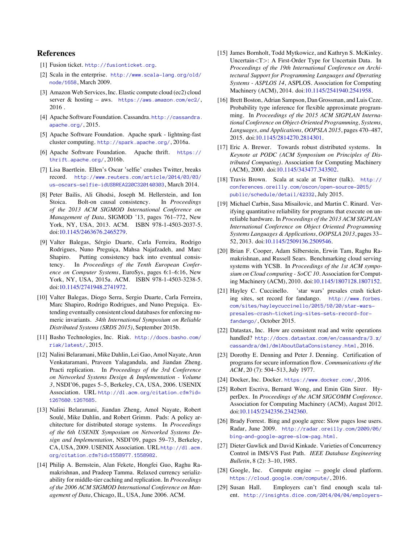# **References**

- [1] Fusion ticket. <http://fusionticket.org>.
- [2] Scala in the enterprise. [http://www.scala-lang.org/old/](http://www.scala-lang.org/old/node/1658) [node/1658](http://www.scala-lang.org/old/node/1658), March 2009.
- [3] Amazon Web Services, Inc. Elastic compute cloud (ec2) cloud server & hosting – aws. <https://aws.amazon.com/ec2/>, 2016 .
- [4] Apache Software Foundation. Cassandra. [http://cassandra.](http://cassandra.apache.org/) [apache.org/](http://cassandra.apache.org/), 2015.
- [5] Apache Software Foundation. Apache spark lightning-fast cluster computing. <http://spark.apache.org/>, 2016a.
- [6] Apache Software Foundation. Apache thrift. [https://](https://thrift.apache.org/) [thrift.apache.org/](https://thrift.apache.org/), 2016b.
- [7] Lisa Baertlein. Ellen's Oscar 'selfie' crashes Twitter, breaks record. [http://www.reuters.com/article/2014/03/03/](http://www.reuters.com/article/2014/03/03/us-oscars-selfie-idUSBREA220C320140303) [us-oscars-selfie-idUSBREA220C320140303](http://www.reuters.com/article/2014/03/03/us-oscars-selfie-idUSBREA220C320140303), March 2014.
- [8] Peter Bailis, Ali Ghodsi, Joseph M. Hellerstein, and Ion Stoica. Bolt-on causal consistency. In *Proceedings of the 2013 ACM SIGMOD International Conference on Management of Data*, SIGMOD '13, pages 761–772, New York, NY, USA, 2013. ACM. ISBN 978-1-4503-2037-5. doi[:10.1145/2463676.2465279](http://dx.doi.org/10.1145/2463676.2465279).
- [9] Valter Balegas, Sérgio Duarte, Carla Ferreira, Rodrigo Rodrigues, Nuno Preguiça, Mahsa Najafzadeh, and Marc Shapiro. Putting consistency back into eventual consistency. In *Proceedings of the Tenth European Conference on Computer Systems*, EuroSys, pages 6:1–6:16, New York, NY, USA, 2015a. ACM. ISBN 978-1-4503-3238-5. doi[:10.1145/2741948.2741972](http://dx.doi.org/10.1145/2741948.2741972).
- [10] Valter Balegas, Diogo Serra, Sergio Duarte, Carla Ferreira, Marc Shapiro, Rodrigo Rodrigues, and Nuno Preguiça. Extending eventually consistent cloud databases for enforcing numeric invariants. *34th International Symposium on Reliable Distributed Systems (SRDS 2015)*, September 2015b.
- [11] Basho Technologies, Inc. Riak. [http://docs.basho.com/](http://docs.basho.com/riak/latest/) [riak/latest/](http://docs.basho.com/riak/latest/), 2015.
- [12] Nalini Belaramani, Mike Dahlin, Lei Gao, Amol Nayate, Arun Venkataramani, Praveen Yalagandula, and Jiandan Zheng. Practi replication. In *Proceedings of the 3rd Conference on Networked Systems Design & Implementation - Volume 3*, NSDI'06, pages 5–5, Berkeley, CA, USA, 2006. USENIX Association. URL [http://dl.acm.org/citation.cfm?id=](http://dl.acm.org/citation.cfm?id=1267680.1267685) [1267680.1267685](http://dl.acm.org/citation.cfm?id=1267680.1267685).
- [13] Nalini Belaramani, Jiandan Zheng, Amol Nayate, Robert Soulé, Mike Dahlin, and Robert Grimm. Pads: A policy architecture for distributed storage systems. In *Proceedings of the 6th USENIX Symposium on Networked Systems Design and Implementation*, NSDI'09, pages 59–73, Berkeley, CA, USA, 2009. USENIX Association. URL [http://dl.acm.](http://dl.acm.org/citation.cfm?id=1558977.1558982) [org/citation.cfm?id=1558977.1558982](http://dl.acm.org/citation.cfm?id=1558977.1558982).
- [14] Philip A. Bernstein, Alan Fekete, Hongfei Guo, Raghu Ramakrishnan, and Pradeep Tamma. Relaxed currency serializability for middle-tier caching and replication. In *Proceedings of the 2006 ACM SIGMOD International Conference on Management of Data*, Chicago, IL, USA, June 2006. ACM.
- [15] James Bornholt, Todd Mytkowicz, and Kathryn S. McKinley. Uncertain<T>: A First-Order Type for Uncertain Data. In *Proceedings of the 19th International Conference on Architectural Support for Programming Languages and Operating Systems - ASPLOS 14*, ASPLOS. Association for Computing Machinery (ACM), 2014. doi:[10.1145/2541940.2541958](http://dx.doi.org/10.1145/2541940.2541958).
- [16] Brett Boston, Adrian Sampson, Dan Grossman, and Luis Ceze. Probability type inference for flexible approximate programming. In *Proceedings of the 2015 ACM SIGPLAN International Conference on Object-Oriented Programming, Systems, Languages, and Applications, OOPSLA 2015*, pages 470–487, 2015. doi:[10.1145/2814270.2814301](http://dx.doi.org/10.1145/2814270.2814301).
- [17] Eric A. Brewer. Towards robust distributed systems. In *Keynote at PODC (ACM Symposium on Principles of Distributed Computing)*. Association for Computing Machinery (ACM), 2000. doi[:10.1145/343477.343502](http://dx.doi.org/10.1145/343477.343502).
- [18] Travis Brown. Scala at scale at Twitter (talk). [http://](http://conferences.oreilly.com/oscon/open-source-2015/public/schedule/detail/42332) [conferences.oreilly.com/oscon/open-source-2015/](http://conferences.oreilly.com/oscon/open-source-2015/public/schedule/detail/42332) [public/schedule/detail/42332](http://conferences.oreilly.com/oscon/open-source-2015/public/schedule/detail/42332), July 2015.
- [19] Michael Carbin, Sasa Misailovic, and Martin C. Rinard. Verifying quantitative reliability for programs that execute on unreliable hardware. In *Proceedings of the 2013 ACM SIGPLAN International Conference on Object Oriented Programming Systems Languages & Applications, OOPSLA 2013*, pages 33– 52, 2013. doi[:10.1145/2509136.2509546.](http://dx.doi.org/10.1145/2509136.2509546)
- [20] Brian F. Cooper, Adam Silberstein, Erwin Tam, Raghu Ramakrishnan, and Russell Sears. Benchmarking cloud serving systems with YCSB. In *Proceedings of the 1st ACM symposium on Cloud computing - SoCC 10*. Association for Computing Machinery (ACM), 2010. doi[:10.1145/1807128.1807152.](http://dx.doi.org/10.1145/1807128.1807152)
- [21] Hayley C. Cuccinello. 'star wars' presales crash ticketing sites, set record for fandango. [http://www.forbes.](http://www.forbes.com/sites/hayleycuccinello/2015/10/20/star-wars-presales-crash-ticketing-sites-sets-record-for-fandango/) [com/sites/hayleycuccinello/2015/10/20/star-wars](http://www.forbes.com/sites/hayleycuccinello/2015/10/20/star-wars-presales-crash-ticketing-sites-sets-record-for-fandango/)[presales-crash-ticketing-sites-sets-record-for](http://www.forbes.com/sites/hayleycuccinello/2015/10/20/star-wars-presales-crash-ticketing-sites-sets-record-for-fandango/)[fandango/](http://www.forbes.com/sites/hayleycuccinello/2015/10/20/star-wars-presales-crash-ticketing-sites-sets-record-for-fandango/), October 2015.
- [22] Datastax, Inc. How are consistent read and write operations handled? [http://docs.datastax.com/en/cassandra/3.x/](http://docs.datastax.com/en/cassandra/3.x/cassandra/dml/dmlAboutDataConsistency.html) [cassandra/dml/dmlAboutDataConsistency.html](http://docs.datastax.com/en/cassandra/3.x/cassandra/dml/dmlAboutDataConsistency.html), 2016.
- [23] Dorothy E. Denning and Peter J. Denning. Certification of programs for secure information flow. *Communications of the ACM*, 20 (7): 504–513, July 1977.
- [24] Docker, Inc. Docker. <https://www.docker.com/>, 2016.
- [25] Robert Escriva, Bernard Wong, and Emin Gün Sirer. HyperDex. In *Proceedings of the ACM SIGCOMM Conference*. Association for Computing Machinery (ACM), August 2012. doi[:10.1145/2342356.2342360](http://dx.doi.org/10.1145/2342356.2342360).
- [26] Brady Forrest. Bing and google agree: Slow pages lose users. Radar, June 2009. [http://radar.oreilly.com/2009/06/](http://radar.oreilly.com/2009/06/bing-and-google-agree-slow-pag.html) [bing-and-google-agree-slow-pag.html](http://radar.oreilly.com/2009/06/bing-and-google-agree-slow-pag.html).
- [27] Dieter Gawlick and David Kinkade. Varieties of Concurrency Control in IMS/VS Fast Path. *IEEE Database Engineering Bulletin*, 8 (2): 3–10, 1985.
- [28] Google, Inc. Compute engine google cloud platform. <https://cloud.google.com/compute/>, 2016.
- [29] Susan Hall. Employers can't find enough scala talent. [http://insights.dice.com/2014/04/04/employers-](http://insights.dice.com/2014/04/04/employers-cant-find-enough-scala-talent/)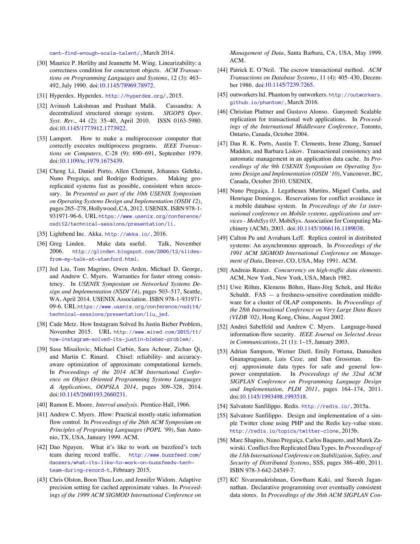[cant-find-enough-scala-talent/](http://insights.dice.com/2014/04/04/employers-cant-find-enough-scala-talent/), March 2014.

- [30] Maurice P. Herlihy and Jeannette M. Wing. Linearizability: a correctness condition for concurrent objects. *ACM Transactions on Programming Languages and Systems*, 12 (3): 463– 492, July 1990. doi:[10.1145/78969.78972](http://dx.doi.org/10.1145/78969.78972).
- [31] Hyperdex. Hyperdex. <http://hyperdex.org/>, 2015.
- [32] Avinash Lakshman and Prashant Malik. Cassandra: A decentralized structured storage system. *SIGOPS Oper. Syst. Rev.*, 44 (2): 35–40, April 2010. ISSN 0163-5980. doi[:10.1145/1773912.1773922](http://dx.doi.org/10.1145/1773912.1773922).
- [33] Lamport. How to make a multiprocessor computer that correctly executes multiprocess programs. *IEEE Transactions on Computers*, C-28 (9): 690–691, September 1979. doi[:10.1109/tc.1979.1675439](http://dx.doi.org/10.1109/tc.1979.1675439).
- [34] Cheng Li, Daniel Porto, Allen Clement, Johannes Gehrke, Nuno Preguiça, and Rodrigo Rodrigues. Making georeplicated systems fast as possible, consistent when necessary. In *Presented as part of the 10th USENIX Symposium on Operating Systems Design and Implementation (OSDI 12)*, pages 265–278, Hollywood, CA, 2012. USENIX. ISBN 978-1- 931971-96-6. URL [https://www.usenix.org/conference/](https://www.usenix.org/conference/osdi12/technical-sessions/presentation/li) [osdi12/technical-sessions/presentation/li](https://www.usenix.org/conference/osdi12/technical-sessions/presentation/li).
- [35] Lightbend Inc. Akka. <http://akka.io/>, 2016.
- [36] Greg Linden. Make data useful. Talk, November 2006. [http://glinden.blogspot.com/2006/12/slides](http://glinden.blogspot.com/2006/12/slides-from-my-talk-at-stanford.html)[from-my-talk-at-stanford.html](http://glinden.blogspot.com/2006/12/slides-from-my-talk-at-stanford.html).
- [37] Jed Liu, Tom Magrino, Owen Arden, Michael D. George, and Andrew C. Myers. Warranties for faster strong consistency. In *USENIX Symposium on Networked Systems Design and Implementation (NSDI'14)*, pages 503–517, Seattle, WA, April 2014. USENIX Association. ISBN 978-1-931971- 09-6. URL [https://www.usenix.org/conference/nsdi14/](https://www.usenix.org/conference/nsdi14/technical-sessions/presentation/liu_jed) [technical-sessions/presentation/liu\\_jed](https://www.usenix.org/conference/nsdi14/technical-sessions/presentation/liu_jed).
- [38] Cade Metz. How Instagram Solved Its Justin Bieber Problem, November 2015. URL [http://www.wired.com/2015/11/](http://www.wired.com/2015/11/how-instagram-solved-its-justin-bieber-problem/) [how-instagram-solved-its-justin-bieber-problem/](http://www.wired.com/2015/11/how-instagram-solved-its-justin-bieber-problem/).
- [39] Sasa Misailovic, Michael Carbin, Sara Achour, Zichao Qi, and Martin C. Rinard. Chisel: reliability- and accuracyaware optimization of approximate computational kernels. In *Proceedings of the 2014 ACM International Conference on Object Oriented Programming Systems Languages & Applications, OOPSLA 2014*, pages 309–328, 2014. doi[:10.1145/2660193.2660231](http://dx.doi.org/10.1145/2660193.2660231).
- [40] Ramon E. Moore. *Interval analysis*. Prentice-Hall, 1966.
- [41] Andrew C. Myers. Jflow: Practical mostly-static information flow control. In *Proceedings of the 26th ACM Symposium on Principles of Programing Languages (POPL '99)*, San Antonio, TX, USA, January 1999. ACM.
- [42] Dao Nguyen. What it's like to work on buzzfeed's tech team during record traffic. [http://www.buzzfeed.com/](http://www.buzzfeed.com/daozers/what-its-like-to-work-on-buzzfeeds-tech-team-during-record-t) [daozers/what-its-like-to-work-on-buzzfeeds-tech](http://www.buzzfeed.com/daozers/what-its-like-to-work-on-buzzfeeds-tech-team-during-record-t)[team-during-record-t](http://www.buzzfeed.com/daozers/what-its-like-to-work-on-buzzfeeds-tech-team-during-record-t), February 2015.
- [43] Chris Olston, Boon Thau Loo, and Jennifer Widom. Adaptive precision setting for cached approximate values. In *Proceedings of the 1999 ACM SIGMOD International Conference on*

*Management of Data*, Santa Barbara, CA, USA, May 1999. ACM.

- [44] Patrick E. O'Neil. The escrow transactional method. *ACM Transactions on Database Systems*, 11 (4): 405–430, December 1986. doi[:10.1145/7239.7265](http://dx.doi.org/10.1145/7239.7265).
- [45] outworkers ltd. Phantom by outworkers. [http://outworkers.](http://outworkers.github.io/phantom/) [github.io/phantom/](http://outworkers.github.io/phantom/), March 2016.
- [46] Christian Plattner and Gustavo Alonso. Ganymed: Scalable replication for transactional web applications. In *Proceedings of the International Middleware Conference*, Toronto, Ontario, Canada, October 2004.
- [47] Dan R. K. Ports, Austin T. Clements, Irene Zhang, Samuel Madden, and Barbara Liskov. Transactional consistency and automatic management in an application data cache. In *Proceedings of the 9th USENIX Symposium on Operating Systems Design and Implementation (OSDI '10)*, Vancouver, BC, Canada, October 2010. USENIX.
- [48] Nuno Preguiça, J. Legatheaux Martins, Miguel Cunha, and Henrique Domingos. Reservations for conflict avoidance in a mobile database system. In *Proceedings of the 1st international conference on Mobile systems, applications and services - MobiSys 03*, MobiSys. Association for Computing Machinery (ACM), 2003. doi:[10.1145/1066116.1189038](http://dx.doi.org/10.1145/1066116.1189038).
- [49] Calton Pu and Avraham Leff. Replica control in distributed systems: An asynchronous approach. In *Proceedings of the 1991 ACM SIGMOD International Conference on Management of Data*, Denver, CO, USA, May 1991. ACM.
- [50] Andreas Reuter. *Concurrency on high-traffic data elements*. ACM, New York, New York, USA, March 1982.
- [51] Uwe Röhm, Klemens Böhm, Hans-Jörg Schek, and Heiko Schuldt. FAS — a freshness-sensitive coordination middleware for a cluster of OLAP components. In *Proceedings of the 28th International Conference on Very Large Data Bases (VLDB '02)*, Hong Kong, China, August 2002.
- [52] Andrei Sabelfeld and Andrew C. Myers. Language-based information-flow security. *IEEE Journal on Selected Areas in Communications*, 21 (1): 1–15, January 2003.
- [53] Adrian Sampson, Werner Dietl, Emily Fortuna, Danushen Gnanapragasam, Luis Ceze, and Dan Grossman. Enerj: approximate data types for safe and general lowpower computation. In *Proceedings of the 32nd ACM SIGPLAN Conference on Programming Language Design and Implementation, PLDI 2011*, pages 164–174, 2011. doi[:10.1145/1993498.1993518](http://dx.doi.org/10.1145/1993498.1993518).
- [54] Salvatore Sanfilippo. Redis. <http://redis.io/>, 2015a.
- [55] Salvatore Sanfilippo. Design and implementation of a simple Twitter clone using PHP and the Redis key-value store. <http://redis.io/topics/twitter-clone>, 2015b.
- [56] Marc Shapiro, Nuno Preguiça, Carlos Baquero, and Marek Zawirski. Conflict-free Replicated Data Types. In *Proceedings of the 13th International Conference on Stabilization, Safety, and Security of Distributed Systems*, SSS, pages 386–400, 2011. ISBN 978-3-642-24549-7.
- [57] KC Sivaramakrishnan, Gowtham Kaki, and Suresh Jagannathan. Declarative programming over eventually consistent data stores. In *Proceedings of the 36th ACM SIGPLAN Con-*